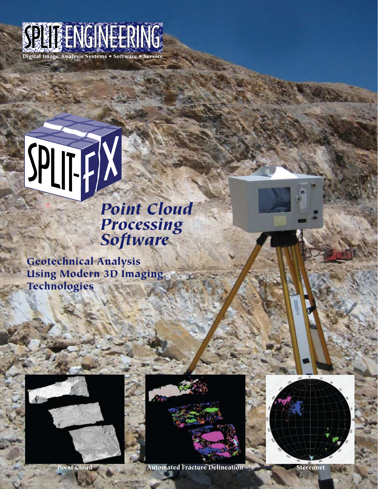

# *Point Cloud*

## *Processing Software*

Geotechnical Analysis Using Modern 3D Imaging Technologies





Point Cloud Automated Fracture Delineation